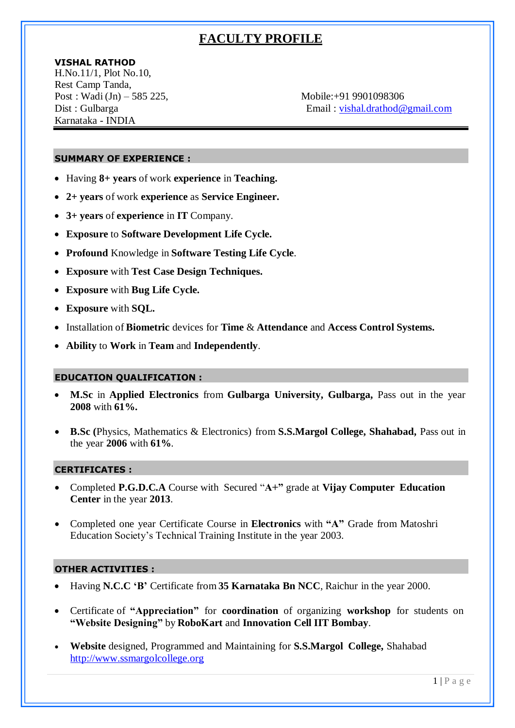# **FACULTY PROFILE**

# **VISHAL RATHOD**

H.No.11/1, Plot No.10, Rest Camp Tanda, Post : Wadi (Jn) – 585 225, Mobile:+91 9901098306 Karnataka - INDIA

Dist : Gulbarga Email : [vishal.drathod@gmail.com](mailto:vishal.drathod@gmail.com)

# **SUMMARY OF EXPERIENCE :**

- Having **8+ years** of work **experience** in **Teaching.**
- **2+ years** of work **experience** as **Service Engineer.**
- **3+ years** of **experience** in **IT** Company.
- **Exposure** to **Software Development Life Cycle.**
- **Profound** Knowledge in **Software Testing Life Cycle**.
- **Exposure** with **Test Case Design Techniques.**
- **Exposure** with **Bug Life Cycle.**
- **Exposure** with **SQL.**
- Installation of **Biometric** devices for **Time** & **Attendance** and **Access Control Systems.**
- **Ability** to **Work** in **Team** and **Independently**.

# **EDUCATION QUALIFICATION :**

- **M.Sc** in **Applied Electronics** from **Gulbarga University, Gulbarga,** Pass out in the year **2008** with **61%.**
- **B.Sc (**Physics, Mathematics & Electronics) from **S.S.Margol College, Shahabad,** Pass out in the year **2006** with **61%**.

### **CERTIFICATES :**

- Completed **P.G.D.C.A** Course with Secured "**A+"** grade at **Vijay Computer Education Center** in the year **2013**.
- Completed one year Certificate Course in **Electronics** with **"A"** Grade from Matoshri Education Society's Technical Training Institute in the year 2003.

### **OTHER ACTIVITIES :**

- Having **N.C.C 'B'** Certificate from **35 Karnataka Bn NCC**, Raichur in the year 2000.
- Certificate of **"Appreciation"** for **coordination** of organizing **workshop** for students on **"Website Designing"** by **RoboKart** and **Innovation Cell IIT Bombay**.
- **Website** designed, Programmed and Maintaining for **S.S.Margol College,** Shahabad [http://www.ssmargolcollege.org](http://www.ssmargolcollege.org/)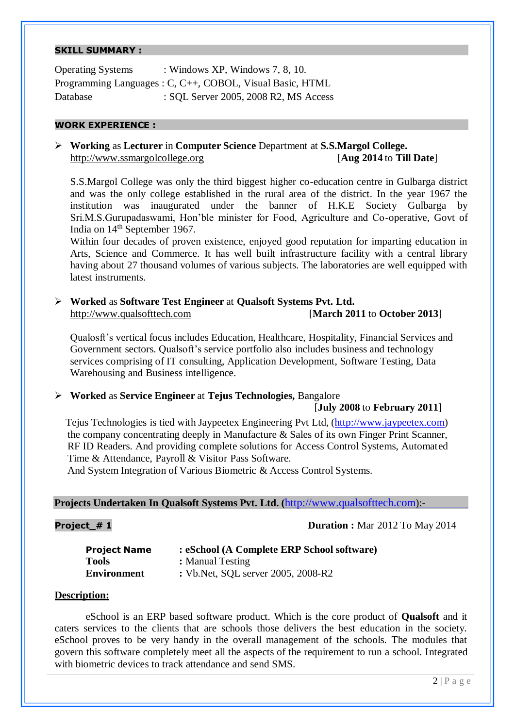# **SKILL SUMMARY :**

Operating Systems : Windows XP, Windows 7, 8, 10. Programming Languages : C, C++, COBOL, Visual Basic, HTML Database : SQL Server 2005, 2008 R2, MS Access

### **WORK EXPERIENCE :**

# **Working** as **Lecturer** in **Computer Science** Department at **S.S.Margol College.** [http://www.ssmargolcollege.org](http://www.ssmargolcollege.org/) [**Aug 2014** to **Till Date**]

S.S.Margol College was only the third biggest higher co-education centre in Gulbarga district and was the only college established in the rural area of the district. In the year 1967 the institution was inaugurated under the banner of H.K.E Society Gulbarga by Sri.M.S.Gurupadaswami, Hon'ble minister for Food, Agriculture and Co-operative, Govt of India on  $14<sup>th</sup>$  September 1967.

Within four decades of proven existence, enjoyed good reputation for imparting education in Arts, Science and Commerce. It has well built infrastructure facility with a central library having about 27 thousand volumes of various subjects. The laboratories are well equipped with latest instruments.

 **Worked** as **Software Test Engineer** at **Qualsoft Systems Pvt. Ltd.** [http://www.qualsofttech.com](http://www.qualsofttech.com/) [**March 2011** to **October 2013**]

Qualosft's vertical focus includes Education, Healthcare, Hospitality, Financial Services and Government sectors. Qualsoft's service portfolio also includes business and technology services comprising of IT consulting, Application Development, Software Testing, Data Warehousing and Business intelligence.

# **Worked** as **Service Engineer** at **Tejus Technologies,** Bangalore

### [**July 2008** to **February 2011**]

Tejus Technologies is tied with Jaypeetex Engineering Pvt Ltd, (http://www.jaypeetex.com) the company concentrating deeply in Manufacture & Sales of its own Finger Print Scanner, RF ID Readers. And providing complete solutions for Access Control Systems, Automated Time & Attendance, Payroll & Visitor Pass Software.

And System Integration of Various Biometric & Access Control Systems.

# **Projects Undertaken In Qualsoft Systems Pvt. Ltd. (**http://www.qualsofttech.com):-

### **Project # 1 Duration :** Mar 2012 To May 2014

| <b>Project Name</b> | : eSchool (A Complete ERP School software) |
|---------------------|--------------------------------------------|
| <b>Tools</b>        | : Manual Testing                           |
| <b>Environment</b>  | : Vb. Net, SQL server 2005, 2008-R2        |

### **Description:**

eSchool is an ERP based software product. Which is the core product of **Qualsoft** and it caters services to the clients that are schools those delivers the best education in the society. eSchool proves to be very handy in the overall management of the schools. The modules that govern this software completely meet all the aspects of the requirement to run a school. Integrated with biometric devices to track attendance and send SMS.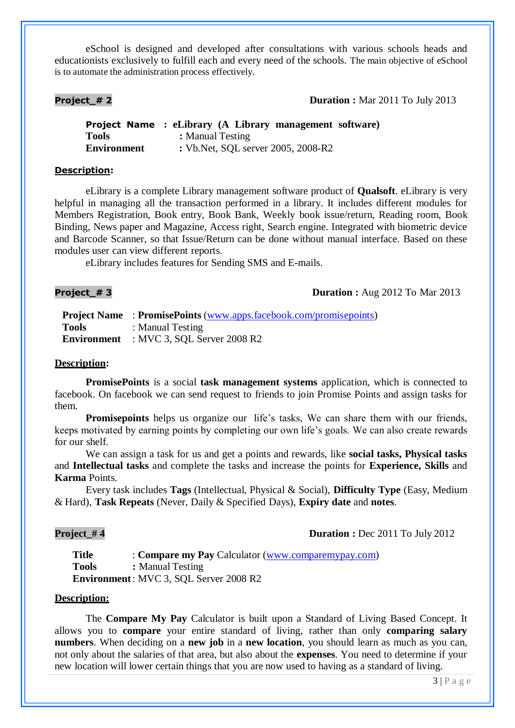eSchool is designed and developed after consultations with various schools heads and educationists exclusively to fulfill each and every need of the schools. The main objective of eSchool is to automate the administration process effectively.

# **Project # 2 Duration :** Mar 2011 To July 2013

**Project Name : eLibrary (A Library management software) Tools :** Manual Testing **Environment :** Vb.Net, SQL server 2005, 2008-R2

# **Description:**

eLibrary is a complete Library management software product of **Qualsoft**. eLibrary is very helpful in managing all the transaction performed in a library. It includes different modules for Members Registration, Book entry, Book Bank, Weekly book issue/return, Reading room, Book Binding, News paper and Magazine, Access right, Search engine. Integrated with biometric device and Barcode Scanner, so that Issue/Return can be done without manual interface. Based on these modules user can view different reports.

eLibrary includes features for Sending SMS and E-mails.

# **Project\_# 3 Duration :** Aug 2012 To Mar 2013

|              | <b>Project Name</b> : PromisePoints (www.apps.facebook.com/promisepoints) |
|--------------|---------------------------------------------------------------------------|
| <b>Tools</b> | : Manual Testing                                                          |
|              | <b>Environment</b> : MVC 3, SQL Server 2008 R2                            |

#### **Description:**

**PromisePoints** is a social **task management systems** application, which is connected to facebook. On facebook we can send request to friends to join Promise Points and assign tasks for them.

**Promisepoints** helps us organize our life's tasks, We can share them with our friends, keeps motivated by earning points by completing our own life's goals. We can also create rewards for our shelf.

We can assign a task for us and get a points and rewards, like **social tasks, Physical tasks** and **Intellectual tasks** and complete the tasks and increase the points for **Experience, Skills** and **Karma** Points.

Every task includes **Tags** (Intellectual, Physical & Social), **Difficulty Type** (Easy, Medium & Hard), **Task Repeats** (Never, Daily & Specified Days), **Expiry date** and **notes**.

# **Project\_#4 Duration :** Dec 2011 To July 2012

**Title** : **Compare my Pay** Calculator (www.comparemypay.com) **Tools :** Manual Testing **Environment**: MVC 3, SQL Server 2008 R2

### **Description:**

The **Compare My Pay** Calculator is built upon a Standard of Living Based Concept. It allows you to **compare** your entire standard of living, rather than only **comparing salary numbers**. When deciding on a **new job** in a **new location**, you should learn as much as you can, not only about the salaries of that area, but also about the **expenses**. You need to determine if your new location will lower certain things that you are now used to having as a standard of living.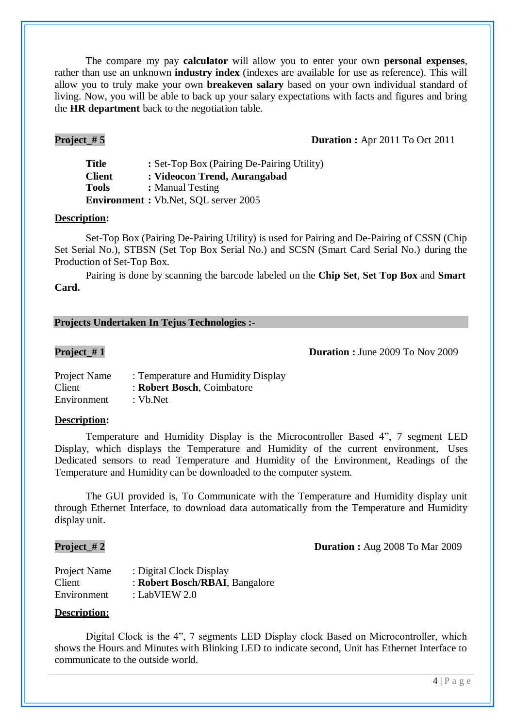The compare my pay **calculator** will allow you to enter your own **personal expenses**, rather than use an unknown **industry index** (indexes are available for use as reference). This will allow you to truly make your own **breakeven salary** based on your own individual standard of living. Now, you will be able to back up your salary expectations with facts and figures and bring the **HR department** back to the negotiation table.

# **Project** # 5 **Duration :** Apr 2011 To Oct 2011

**Title** : Set-Top Box (Pairing De-Pairing Utility) **Client : Videocon Trend, Aurangabad Tools :** Manual Testing **Environment :** Vb.Net, SQL server 2005

### **Description:**

Set-Top Box (Pairing De-Pairing Utility) is used for Pairing and De-Pairing of CSSN (Chip Set Serial No.), STBSN (Set Top Box Serial No.) and SCSN (Smart Card Serial No.) during the Production of Set-Top Box.

Pairing is done by scanning the barcode labeled on the **Chip Set**, **Set Top Box** and **Smart Card.**

# **Projects Undertaken In Tejus Technologies :-**

**Project** # 1 **Duration :** June 2009 To Nov 2009

| Project Name | : Temperature and Humidity Display |
|--------------|------------------------------------|
| Client       | : Robert Bosch, Coimbatore         |
| Environment  | : $Vb$ . Net                       |

### **Description:**

Temperature and Humidity Display is the Microcontroller Based 4", 7 segment LED Display, which displays the Temperature and Humidity of the current environment, Uses Dedicated sensors to read Temperature and Humidity of the Environment, Readings of the Temperature and Humidity can be downloaded to the computer system.

The GUI provided is, To Communicate with the Temperature and Humidity display unit through Ethernet Interface, to download data automatically from the Temperature and Humidity display unit.

**Project\_# 2 Duration :** Aug 2008 To Mar 2009

| Project Name | : Digital Clock Display        |
|--------------|--------------------------------|
| Client       | : Robert Bosch/RBAI, Bangalore |
| Environment  | : LabVIEW $2.0$                |

### **Description:**

Digital Clock is the 4", 7 segments LED Display clock Based on Microcontroller, which shows the Hours and Minutes with Blinking LED to indicate second, Unit has Ethernet Interface to communicate to the outside world.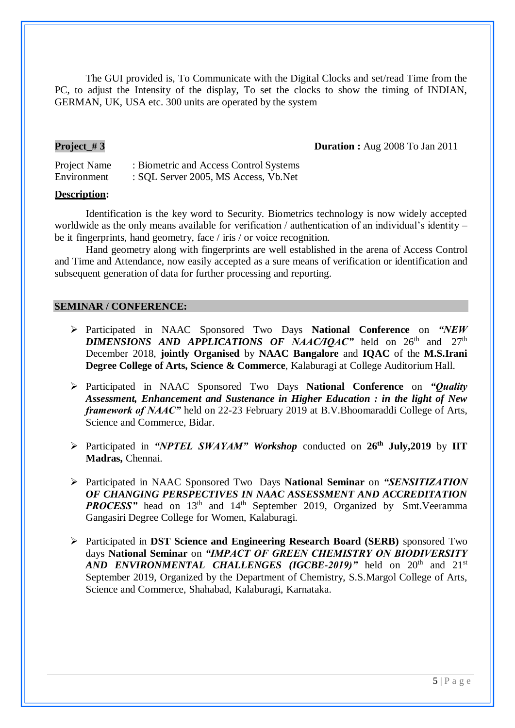The GUI provided is, To Communicate with the Digital Clocks and set/read Time from the PC, to adjust the Intensity of the display, To set the clocks to show the timing of INDIAN, GERMAN, UK, USA etc. 300 units are operated by the system

**Project\_# 3 Duration :** Aug 2008 To Jan 2011

Project Name : Biometric and Access Control Systems Environment : SQL Server 2005, MS Access, Vb.Net

# **Description:**

Identification is the key word to Security. Biometrics technology is now widely accepted worldwide as the only means available for verification / authentication of an individual's identity – be it fingerprints, hand geometry, face / iris / or voice recognition.

Hand geometry along with fingerprints are well established in the arena of Access Control and Time and Attendance, now easily accepted as a sure means of verification or identification and subsequent generation of data for further processing and reporting.

# **SEMINAR / CONFERENCE:**

- Participated in NAAC Sponsored Two Days **National Conference** on *"NEW* **DIMENSIONS** AND APPLICATIONS OF NAAC/IQAC" held on  $26<sup>th</sup>$  and  $27<sup>th</sup>$ December 2018, **jointly Organised** by **NAAC Bangalore** and **IQAC** of the **M.S.Irani Degree College of Arts, Science & Commerce**, Kalaburagi at College Auditorium Hall.
- Participated in NAAC Sponsored Two Days **National Conference** on *"Quality Assessment, Enhancement and Sustenance in Higher Education : in the light of New framework of NAAC*" held on 22-23 February 2019 at B.V.Bhoomaraddi College of Arts, Science and Commerce, Bidar.
- Participated in *"NPTEL SWAYAM" Workshop* conducted on **26th July,2019** by **IIT Madras,** Chennai.
- Participated in NAAC Sponsored Two Days **National Seminar** on *"SENSITIZATION OF CHANGING PERSPECTIVES IN NAAC ASSESSMENT AND ACCREDITATION PROCESS* head on 13<sup>th</sup> and 14<sup>th</sup> September 2019, Organized by Smt. Veeramma Gangasiri Degree College for Women, Kalaburagi.
- Participated in **DST Science and Engineering Research Board (SERB)** sponsored Two days **National Seminar** on *"IMPACT OF GREEN CHEMISTRY ON BIODIVERSITY*  $AND$  *ENVIRONMENTAL CHALLENGES (IGCBE-2019)* and  $20<sup>th</sup>$  and  $21<sup>st</sup>$ September 2019, Organized by the Department of Chemistry, S.S.Margol College of Arts, Science and Commerce, Shahabad, Kalaburagi, Karnataka.